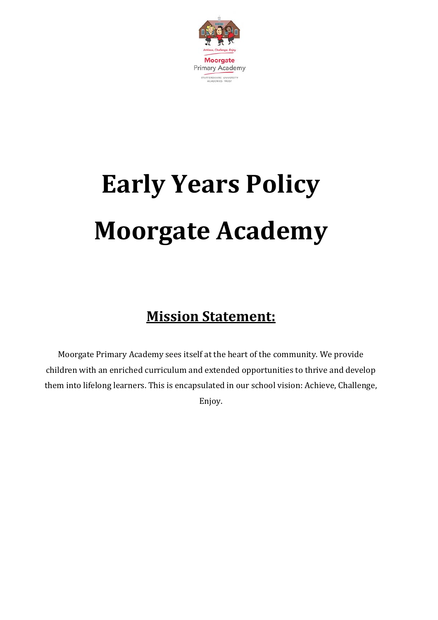

# **Early Years Policy Moorgate Academy**

## **Mission Statement:**

Moorgate Primary Academy sees itself at the heart of the community. We provide children with an enriched curriculum and extended opportunities to thrive and develop them into lifelong learners. This is encapsulated in our school vision: Achieve, Challenge, Enjoy.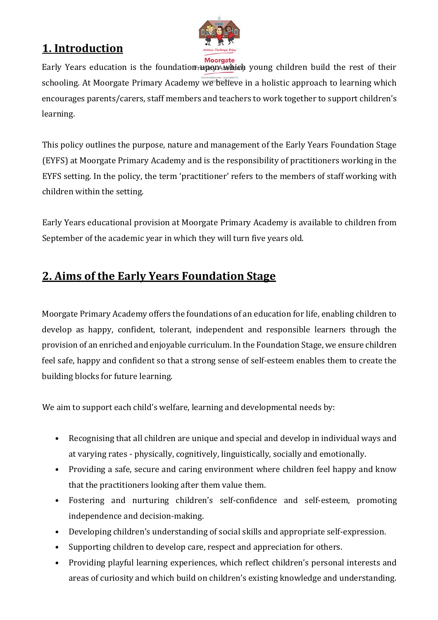

### **1. Introduction**

Early Years education is the foundation rupon which young children build the rest of their schooling. At Moorgate Primary Academy we believe in a holistic approach to learning which encourages parents/carers, staff members and teachers to work together to support children's learning.

This policy outlines the purpose, nature and management of the Early Years Foundation Stage (EYFS) at Moorgate Primary Academy and is the responsibility of practitioners working in the EYFS setting. In the policy, the term 'practitioner' refers to the members of staff working with children within the setting.

Early Years educational provision at Moorgate Primary Academy is available to children from September of the academic year in which they will turn five years old.

### **2. Aims of the Early Years Foundation Stage**

Moorgate Primary Academy offers the foundations of an education for life, enabling children to develop as happy, confident, tolerant, independent and responsible learners through the provision of an enriched and enjoyable curriculum. In the Foundation Stage, we ensure children feel safe, happy and confident so that a strong sense of self-esteem enables them to create the building blocks for future learning.

We aim to support each child's welfare, learning and developmental needs by:

- Recognising that all children are unique and special and develop in individual ways and at varying rates - physically, cognitively, linguistically, socially and emotionally.
- Providing a safe, secure and caring environment where children feel happy and know that the practitioners looking after them value them.
- Fostering and nurturing children's self-confidence and self-esteem, promoting independence and decision-making.
- Developing children's understanding of social skills and appropriate self-expression.
- Supporting children to develop care, respect and appreciation for others.
- Providing playful learning experiences, which reflect children's personal interests and areas of curiosity and which build on children's existing knowledge and understanding.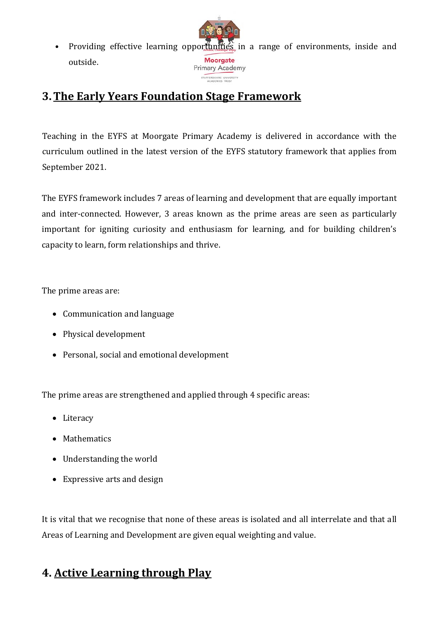• Providing effective learning opportunities in a range of environments, inside and **Moorgate** outside. Primary Academy

STAFFORDSHIRE UNIVERSIT

#### **3.The Early Years Foundation Stage Framework**

Teaching in the EYFS at Moorgate Primary Academy is delivered in accordance with the curriculum outlined in the latest version of the EYFS statutory framework that applies from September 2021.

The EYFS framework includes 7 areas of learning and development that are equally important and inter-connected. However, 3 areas known as the prime areas are seen as particularly important for igniting curiosity and enthusiasm for learning, and for building children's capacity to learn, form relationships and thrive.

The prime areas are:

- Communication and language
- Physical development
- Personal, social and emotional development

The prime areas are strengthened and applied through 4 specific areas:

- Literacy
- Mathematics
- Understanding the world
- Expressive arts and design

It is vital that we recognise that none of these areas is isolated and all interrelate and that all Areas of Learning and Development are given equal weighting and value.

### **4. Active Learning through Play**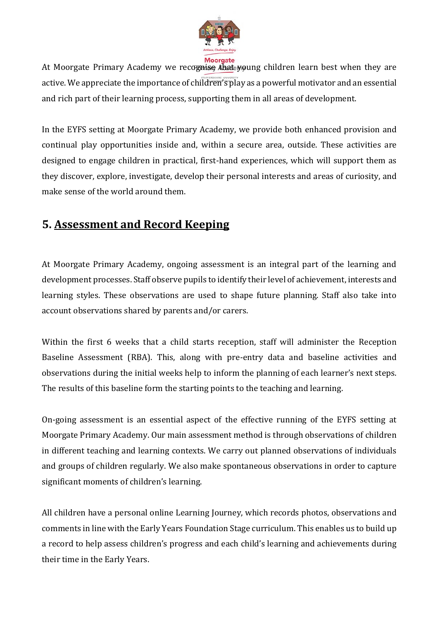

At Moorgate Primary Academy we recognise that young children learn best when they are active. We appreciate the importance of children's play as a powerful motivator and an essential and rich part of their learning process, supporting them in all areas of development.

In the EYFS setting at Moorgate Primary Academy, we provide both enhanced provision and continual play opportunities inside and, within a secure area, outside. These activities are designed to engage children in practical, first-hand experiences, which will support them as they discover, explore, investigate, develop their personal interests and areas of curiosity, and make sense of the world around them.

#### **5. Assessment and Record Keeping**

At Moorgate Primary Academy, ongoing assessment is an integral part of the learning and development processes. Staff observe pupils to identify their level of achievement, interests and learning styles. These observations are used to shape future planning. Staff also take into account observations shared by parents and/or carers.

Within the first 6 weeks that a child starts reception, staff will administer the Reception Baseline Assessment (RBA). This, along with pre-entry data and baseline activities and observations during the initial weeks help to inform the planning of each learner's next steps. The results of this baseline form the starting points to the teaching and learning.

On-going assessment is an essential aspect of the effective running of the EYFS setting at Moorgate Primary Academy. Our main assessment method is through observations of children in different teaching and learning contexts. We carry out planned observations of individuals and groups of children regularly. We also make spontaneous observations in order to capture significant moments of children's learning.

All children have a personal online Learning Journey, which records photos, observations and comments in line with the Early Years Foundation Stage curriculum. This enables us to build up a record to help assess children's progress and each child's learning and achievements during their time in the Early Years.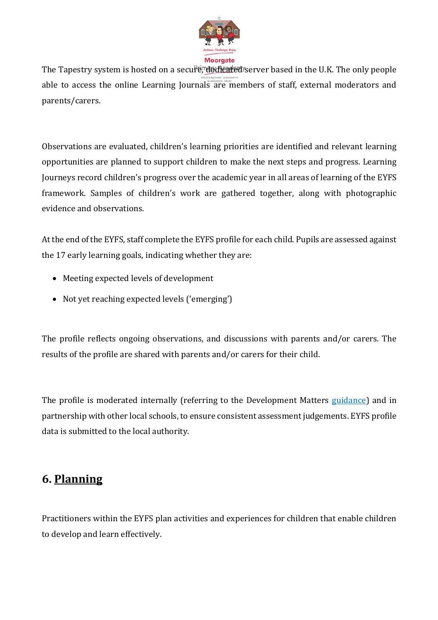

The Tapestry system is hosted on a secure, dedicated server based in the U.K. The only people able to access the online Learning Journals are members of staff, external moderators and parents/carers.

Observations are evaluated, children's learning priorities are identified and relevant learning opportunities are planned to support children to make the next steps and progress. Learning Journeys record children's progress over the academic year in all areas of learning of the EYFS framework. Samples of children's work are gathered together, along with photographic evidence and observations.

At the end of the EYFS, staff complete the EYFS profile for each child. Pupils are assessed against the 17 early learning goals, indicating whether they are:

- Meeting expected levels of development
- Not yet reaching expected levels ('emerging')

The profile reflects ongoing observations, and discussions with parents and/or carers. The results of the profile are shared with parents and/or carers for their child.

The profile is moderated internally (referring to the Development Matters [guidance\)](https://www.gov.uk/government/publications/development-matters--2) and in partnership with other local schools, to ensure consistent assessment judgements. EYFS profile data is submitted to the local authority.

#### **6. Planning**

Practitioners within the EYFS plan activities and experiences for children that enable children to develop and learn effectively.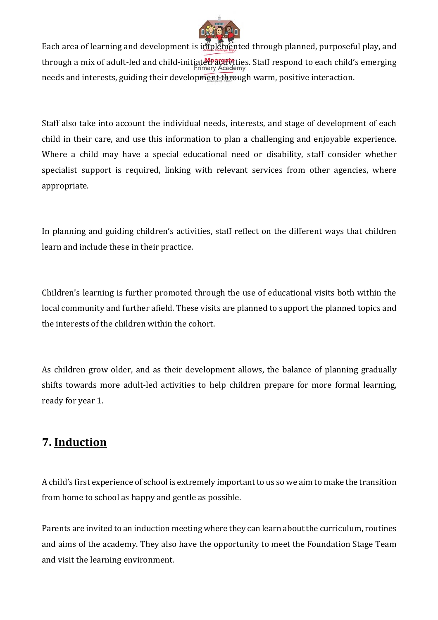

Each area of learning and development is implemented through planned, purposeful play, and through a mix of adult-led and child-initiated activities. Staff respond to each child's emerging needs and interests, guiding their development through warm, positive interaction.

Staff also take into account the individual needs, interests, and stage of development of each child in their care, and use this information to plan a challenging and enjoyable experience. Where a child may have a special educational need or disability, staff consider whether specialist support is required, linking with relevant services from other agencies, where appropriate.

In planning and guiding children's activities, staff reflect on the different ways that children learn and include these in their practice.

Children's learning is further promoted through the use of educational visits both within the local community and further afield. These visits are planned to support the planned topics and the interests of the children within the cohort.

As children grow older, and as their development allows, the balance of planning gradually shifts towards more adult-led activities to help children prepare for more formal learning, ready for year 1.

#### **7. Induction**

A child's first experience of school is extremely important to us so we aim to make the transition from home to school as happy and gentle as possible.

Parents are invited to an induction meeting where they can learn about the curriculum, routines and aims of the academy. They also have the opportunity to meet the Foundation Stage Team and visit the learning environment.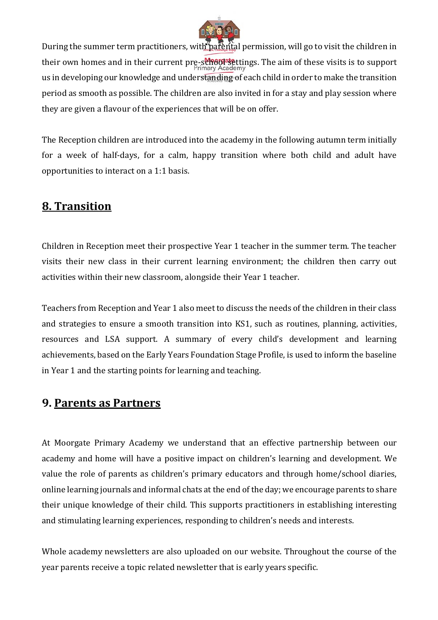

During the summer term practitioners, with parental permission, will go to visit the children in their own homes and in their current pre-school settings. The aim of these visits is to support us in developing our knowledge and understanding of each child in order to make the transition period as smooth as possible. The children are also invited in for a stay and play session where they are given a flavour of the experiences that will be on offer.

The Reception children are introduced into the academy in the following autumn term initially for a week of half-days, for a calm, happy transition where both child and adult have opportunities to interact on a 1:1 basis.

#### **8. Transition**

Children in Reception meet their prospective Year 1 teacher in the summer term. The teacher visits their new class in their current learning environment; the children then carry out activities within their new classroom, alongside their Year 1 teacher.

Teachers from Reception and Year 1 also meet to discuss the needs of the children in their class and strategies to ensure a smooth transition into KS1, such as routines, planning, activities, resources and LSA support. A summary of every child's development and learning achievements, based on the Early Years Foundation Stage Profile, is used to inform the baseline in Year 1 and the starting points for learning and teaching.

#### **9. Parents as Partners**

At Moorgate Primary Academy we understand that an effective partnership between our academy and home will have a positive impact on children's learning and development. We value the role of parents as children's primary educators and through home/school diaries, online learning journals and informal chats at the end of the day; we encourage parents to share their unique knowledge of their child. This supports practitioners in establishing interesting and stimulating learning experiences, responding to children's needs and interests.

Whole academy newsletters are also uploaded on our website. Throughout the course of the year parents receive a topic related newsletter that is early years specific.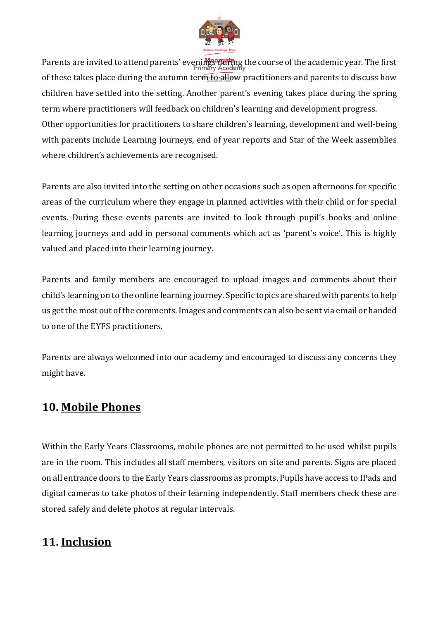

Parents are invited to attend parents' evenings during the course of the academic year. The first of these takes place during the autumn term to allow practitioners and parents to discuss how children have settled into the setting. Another parent's evening takes place during the spring term where practitioners will feedback on children's learning and development progress. Other opportunities for practitioners to share children's learning, development and well-being with parents include Learning Journeys, end of year reports and Star of the Week assemblies where children's achievements are recognised.

Parents are also invited into the setting on other occasions such as open afternoons for specific areas of the curriculum where they engage in planned activities with their child or for special events. During these events parents are invited to look through pupil's books and online learning journeys and add in personal comments which act as 'parent's voice'. This is highly valued and placed into their learning journey.

Parents and family members are encouraged to upload images and comments about their child's learning on to the online learning journey. Specific topics are shared with parents to help us get the most out of the comments. Images and comments can also be sent via email or handed to one of the EYFS practitioners.

Parents are always welcomed into our academy and encouraged to discuss any concerns they might have.

#### **10. Mobile Phones**

Within the Early Years Classrooms, mobile phones are not permitted to be used whilst pupils are in the room. This includes all staff members, visitors on site and parents. Signs are placed on all entrance doors to the Early Years classrooms as prompts. Pupils have access to IPads and digital cameras to take photos of their learning independently. Staff members check these are stored safely and delete photos at regular intervals.

#### **11. Inclusion**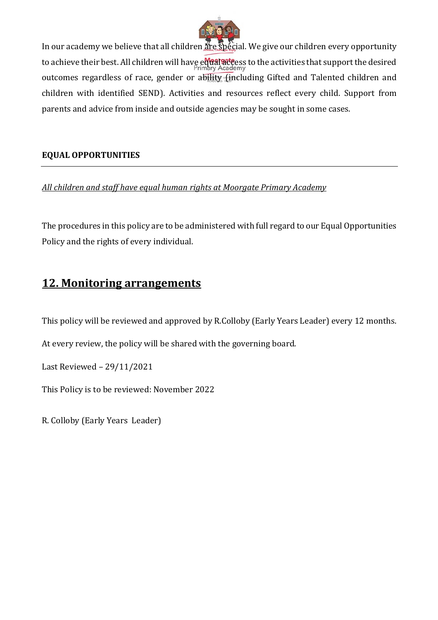

In our academy we believe that all children are special. We give our children every opportunity to achieve their best. All children will have equal access to the activities that support the desired outcomes regardless of race, gender or ability (including Gifted and Talented children and children with identified SEND). Activities and resources reflect every child. Support from parents and advice from inside and outside agencies may be sought in some cases.

#### **EQUAL OPPORTUNITIES**

*All children and staff have equal human rights at Moorgate Primary Academy*

The procedures in this policy are to be administered with full regard to our Equal Opportunities Policy and the rights of every individual.

#### **12. Monitoring arrangements**

This policy will be reviewed and approved by R.Colloby (Early Years Leader) every 12 months.

At every review, the policy will be shared with the governing board.

Last Reviewed – 29/11/2021

This Policy is to be reviewed: November 2022

R. Colloby (Early Years Leader)